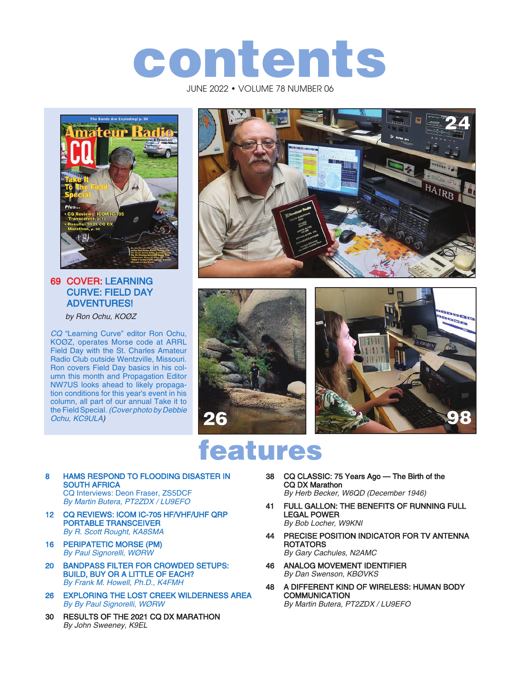# contents

JUNE 2022 • VOLUME 78 NUMBER 06



#### 69 COVER: LEARNING CURVE: FIELD DAY ADVENTURES!

by Ron Ochu, KOØZ

CQ "Learning Curve" editor Ron Ochu, KOØZ, operates Morse code at ARRL Field Day with the St. Charles Amateur Radio Club outside Wentzville, Missouri. Ron covers Field Day basics in his column this month and Propagation Editor NW7US looks ahead to likely propagation conditions for this year's event in his column, all part of our annual Take it to the Field Special. (Cover photo by Debbie Ochu, KC9ULA)







# features

8 HAMS RESPOND TO FLOODING DISASTER IN SOUTH AFRICA CQ Interviews: Deon Fraser, ZS5DCF

By Martin Butera, PT2ZDX / LU9EFO

- 12 CQ REVIEWS: ICOM IC-705 HF/VHF/UHF QRP PORTABLE TRANSCEIVER By R. Scott Rought, KA8SMA
- 16 PERIPATETIC MORSE (PM) By Paul Signorelli, WØRW
- 20 BANDPASS FILTER FOR CROWDED SETUPS: BUILD, BUY OR A LITTLE OF EACH? By Frank M. Howell, Ph.D., K4FMH
- 26 EXPLORING THE LOST CREEK WILDERNESS AREA By By Paul Signorelli, WØRW
- 30 RESULTS OF THE 2021 CQ DX MARATHON By John Sweeney, K9EL
- 38 CQ CLASSIC: 75 Years Ago The Birth of the CQ DX Marathon By Herb Becker, W6QD (December 1946)
- 41 FULL GALLON: THE BENEFITS OF RUNNING FULL LEGAL POWER By Bob Locher, W9KNI
- 44 PRECISE POSITION INDICATOR FOR TV ANTENNA ROTATORS By Gary Cachules, N2AMC
- 46 ANALOG MOVEMENT IDENTIFIER By Dan Swenson, KBØVKS
- 48 A DIFFERENT KIND OF WIRELESS: HUMAN BODY **COMMUNICATION** By Martin Butera, PT2ZDX / LU9EFO